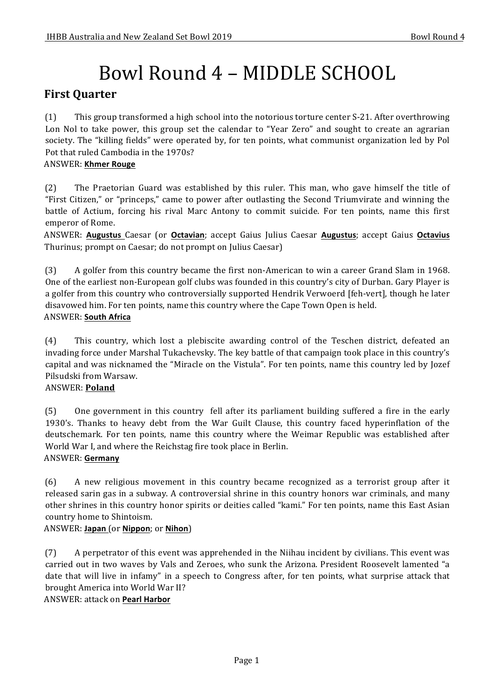# Bowl Round 4 – MIDDLE SCHOOL

# **First Quarter**

(1) This group transformed a high school into the notorious torture center S-21. After overthrowing Lon Nol to take power, this group set the calendar to "Year Zero" and sought to create an agrarian society. The "killing fields" were operated by, for ten points, what communist organization led by Pol Pot that ruled Cambodia in the 1970s?

#### ANSWER: **Khmer Rouge**

(2) The Praetorian Guard was established by this ruler. This man, who gave himself the title of "First Citizen," or "princeps," came to power after outlasting the Second Triumvirate and winning the battle of Actium, forcing his rival Marc Antony to commit suicide. For ten points, name this first emperor of Rome.

ANSWER: Augustus Caesar (or Octavian; accept Gaius Julius Caesar Augustus; accept Gaius Octavius Thurinus; prompt on Caesar; do not prompt on Julius Caesar)

(3) A golfer from this country became the first non-American to win a career Grand Slam in 1968. One of the earliest non-European golf clubs was founded in this country's city of Durban. Gary Player is a golfer from this country who controversially supported Hendrik Verwoerd [feh-vert], though he later disavowed him. For ten points, name this country where the Cape Town Open is held. ANSWER: **South Africa**

(4) This country, which lost a plebiscite awarding control of the Teschen district, defeated an invading force under Marshal Tukachevsky. The key battle of that campaign took place in this country's capital and was nicknamed the "Miracle on the Vistula". For ten points, name this country led by Jozef Pilsudski from Warsaw.

#### ANSWER: **Poland**

(5) One government in this country fell after its parliament building suffered a fire in the early 1930's. Thanks to heavy debt from the War Guilt Clause, this country faced hyperinflation of the deutschemark. For ten points, name this country where the Weimar Republic was established after World War I, and where the Reichstag fire took place in Berlin.

#### ANSWER: **Germany**

(6) A new religious movement in this country became recognized as a terrorist group after it released sarin gas in a subway. A controversial shrine in this country honors war criminals, and many other shrines in this country honor spirits or deities called "kami." For ten points, name this East Asian country home to Shintoism.

#### ANSWER: **Japan** (or **Nippon**; or **Nihon**)

(7) A perpetrator of this event was apprehended in the Niihau incident by civilians. This event was carried out in two waves by Vals and Zeroes, who sunk the Arizona. President Roosevelt lamented "a date that will live in infamy" in a speech to Congress after, for ten points, what surprise attack that brought America into World War II?

#### ANSWER: attack on **Pearl Harbor**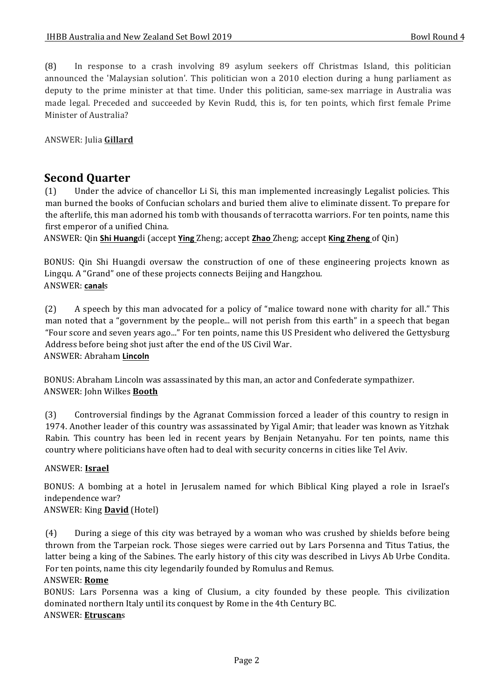(8) In response to a crash involving 89 asylum seekers off Christmas Island, this politician announced the 'Malaysian solution'. This politician won a 2010 election during a hung parliament as deputy to the prime minister at that time. Under this politician, same-sex marriage in Australia was made legal. Preceded and succeeded by Kevin Rudd, this is, for ten points, which first female Prime Minister of Australia?

ANSWER: Julia **Gillard** 

## **Second Ouarter**

(1) Under the advice of chancellor Li Si, this man implemented increasingly Legalist policies. This man burned the books of Confucian scholars and buried them alive to eliminate dissent. To prepare for the afterlife, this man adorned his tomb with thousands of terracotta warriors. For ten points, name this first emperor of a unified China.

ANSWER: Qin **Shi Huang**di (accept **Ying** Zheng; accept **Zhao** Zheng; accept **King Zheng** of Qin)

BONUS: Qin Shi Huangdi oversaw the construction of one of these engineering projects known as Lingqu. A "Grand" one of these projects connects Beijing and Hangzhou. ANSWER: **canal**s

(2) A speech by this man advocated for a policy of "malice toward none with charity for all." This man noted that a "government by the people... will not perish from this earth" in a speech that began "Four score and seven years ago..." For ten points, name this US President who delivered the Gettysburg Address before being shot just after the end of the US Civil War. ANSWER: Abraham **Lincoln**

BONUS: Abraham Lincoln was assassinated by this man, an actor and Confederate sympathizer. ANSWER: John Wilkes **Booth**

(3) Controversial findings by the Agranat Commission forced a leader of this country to resign in 1974. Another leader of this country was assassinated by Yigal Amir; that leader was known as Yitzhak Rabin. This country has been led in recent years by Benjain Netanyahu. For ten points, name this country where politicians have often had to deal with security concerns in cities like Tel Aviv.

#### ANSWER: **Israel**

BONUS: A bombing at a hotel in Jerusalem named for which Biblical King played a role in Israel's independence war?

#### ANSWER: King **David** (Hotel)

(4) During a siege of this city was betrayed by a woman who was crushed by shields before being thrown from the Tarpeian rock. Those sieges were carried out by Lars Porsenna and Titus Tatius, the latter being a king of the Sabines. The early history of this city was described in Livys Ab Urbe Condita. For ten points, name this city legendarily founded by Romulus and Remus.

#### ANSWER: **Rome**

BONUS: Lars Porsenna was a king of Clusium, a city founded by these people. This civilization dominated northern Italy until its conquest by Rome in the 4th Century BC. ANSWER: **Etruscan**s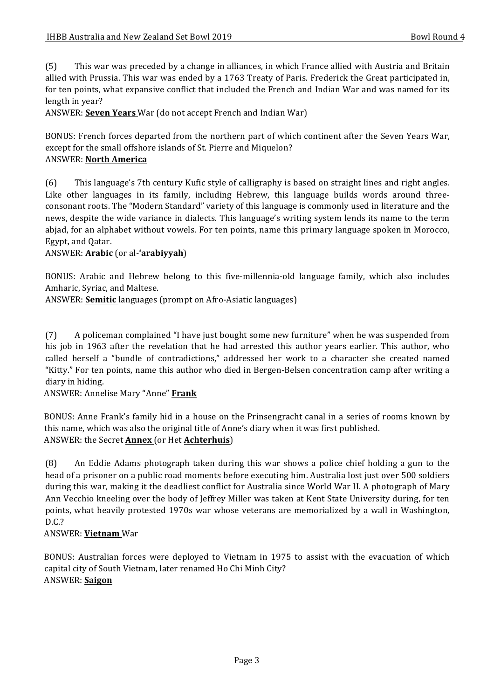(5) This war was preceded by a change in alliances, in which France allied with Austria and Britain allied with Prussia. This war was ended by a 1763 Treaty of Paris. Frederick the Great participated in, for ten points, what expansive conflict that included the French and Indian War and was named for its length in year?

ANSWER: **Seven Years** War (do not accept French and Indian War)

BONUS: French forces departed from the northern part of which continent after the Seven Years War, except for the small offshore islands of St. Pierre and Miquelon? ANSWER: **North America**

#### (6) This language's 7th century Kufic style of calligraphy is based on straight lines and right angles. Like other languages in its family, including Hebrew, this language builds words around threeconsonant roots. The "Modern Standard" variety of this language is commonly used in literature and the news, despite the wide variance in dialects. This language's writing system lends its name to the term abjad, for an alphabet without vowels. For ten points, name this primary language spoken in Morocco, Egypt, and Qatar.

ANSWER: **Arabic** (or al-**'arabiyyah**)

BONUS: Arabic and Hebrew belong to this five-millennia-old language family, which also includes Amharic, Syriac, and Maltese.

ANSWER: **Semitic** languages (prompt on Afro-Asiatic languages)

(7) A policeman complained "I have just bought some new furniture" when he was suspended from his iob in 1963 after the revelation that he had arrested this author years earlier. This author, who called herself a "bundle of contradictions," addressed her work to a character she created named "Kitty." For ten points, name this author who died in Bergen-Belsen concentration camp after writing a diary in hiding.

ANSWER: Annelise Mary "Anne" **Frank** 

BONUS: Anne Frank's family hid in a house on the Prinsengracht canal in a series of rooms known by this name, which was also the original title of Anne's diary when it was first published. ANSWER: the Secret **Annex** (or Het **Achterhuis**)

(8) An Eddie Adams photograph taken during this war shows a police chief holding a gun to the head of a prisoner on a public road moments before executing him. Australia lost just over 500 soldiers during this war, making it the deadliest conflict for Australia since World War II. A photograph of Mary Ann Vecchio kneeling over the body of Jeffrey Miller was taken at Kent State University during, for ten points, what heavily protested 1970s war whose veterans are memorialized by a wall in Washington, D.C.?

ANSWER: **Vietnam** War

BONUS: Australian forces were deployed to Vietnam in 1975 to assist with the evacuation of which capital city of South Vietnam, later renamed Ho Chi Minh City? ANSWER: **Saigon**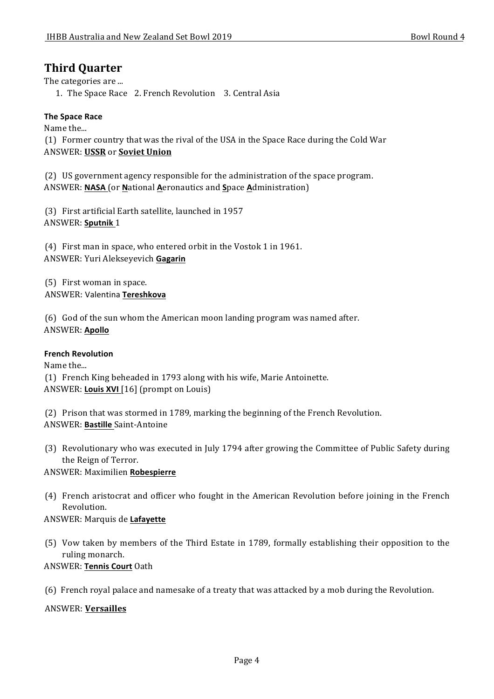## **Third Quarter**

The categories are ...

1. The Space Race 2. French Revolution 3. Central Asia

#### **The Space Race**

Name the... (1) Former country that was the rival of the USA in the Space Race during the Cold War ANSWER: **USSR** or **Soviet Union**

(2) US government agency responsible for the administration of the space program. ANSWER: **NASA** (or **N**ational **A**eronautics and **S**pace **A**dministration)

(3) First artificial Earth satellite, launched in 1957 ANSWER: **Sputnik** 1

 $(4)$  First man in space, who entered orbit in the Vostok 1 in 1961. ANSWER: Yuri Alekseyevich **Gagarin**

(5) First woman in space. ANSWER: Valentina **Tereshkova**

(6) God of the sun whom the American moon landing program was named after. ANSWER: **Apollo**

#### **French Revolution**

Name the... (1) French King beheaded in 1793 along with his wife, Marie Antoinette. ANSWER: Louis XVI [16] (prompt on Louis)

(2) Prison that was stormed in 1789, marking the beginning of the French Revolution. ANSWER: **Bastille** Saint-Antoine

(3) Revolutionary who was executed in July 1794 after growing the Committee of Public Safety during the Reign of Terror.

ANSWER: Maximilien **Robespierre**

(4) French aristocrat and officer who fought in the American Revolution before joining in the French Revolution.

#### ANSWER: Marquis de **Lafayette**

(5) Vow taken by members of the Third Estate in 1789, formally establishing their opposition to the ruling monarch.

#### ANSWER: **Tennis Court** Oath

(6) French royal palace and namesake of a treaty that was attacked by a mob during the Revolution.

#### ANSWER: **Versailles**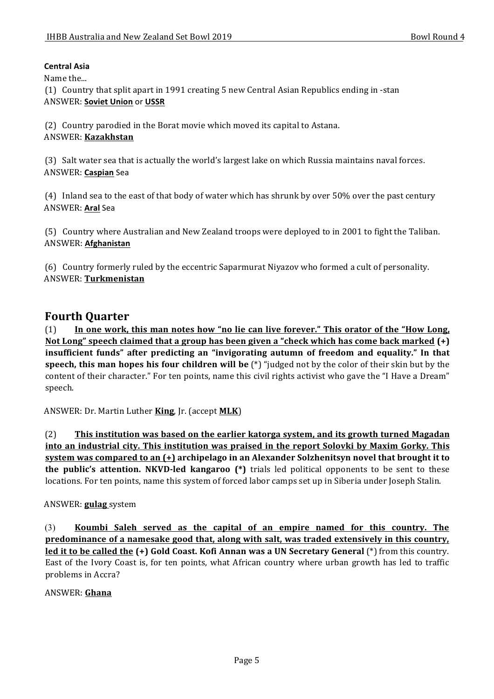#### **Central Asia**

Name the...

(1) Country that split apart in 1991 creating 5 new Central Asian Republics ending in -stan ANSWER: **Soviet Union** or **USSR**

(2) Country parodied in the Borat movie which moved its capital to Astana.

#### ANSWER: **Kazakhstan**

(3) Salt water sea that is actually the world's largest lake on which Russia maintains naval forces. ANSWER: **Caspian** Sea

 $(4)$  Inland sea to the east of that body of water which has shrunk by over 50% over the past century ANSWER: **Aral** Sea

(5) Country where Australian and New Zealand troops were deployed to in 2001 to fight the Taliban. ANSWER: **Afghanistan**

(6) Country formerly ruled by the eccentric Saparmurat Niyazov who formed a cult of personality. ANSWER: **Turkmenistan**

## **Fourth Quarter**

(1) In one work, this man notes how "no lie can live forever." This orator of the "How Long, Not Long" speech claimed that a group has been given a "check which has come back marked (+) insufficient funds" after predicting an "invigorating autumn of freedom and equality." In that **speech, this man hopes his four children will be** (\*) "judged not by the color of their skin but by the content of their character." For ten points, name this civil rights activist who gave the "I Have a Dream" speech.

ANSWER: Dr. Martin Luther **King**, Jr. (accept **MLK**)

(2) **This institution was based on the earlier katorga system, and its growth turned Magadan** into an industrial city. This institution was praised in the report Solovki by Maxim Gorky. This **system was compared to an (+)** archipelago in an Alexander Solzhenitsyn novel that brought it to **the public's attention. NKVD-led kangaroo** (\*) trials led political opponents to be sent to these locations. For ten points, name this system of forced labor camps set up in Siberia under Joseph Stalin.

#### ANSWER: **gulag** system

(3) Koumbi Saleh served as the capital of an empire named for this country. The **predominance of a namesake good that, along with salt, was traded extensively in this country, led it to be called the (+) Gold Coast. Kofi Annan was a UN Secretary General (\*)** from this country. East of the Ivory Coast is, for ten points, what African country where urban growth has led to traffic problems in Accra?

#### ANSWER: **Ghana**